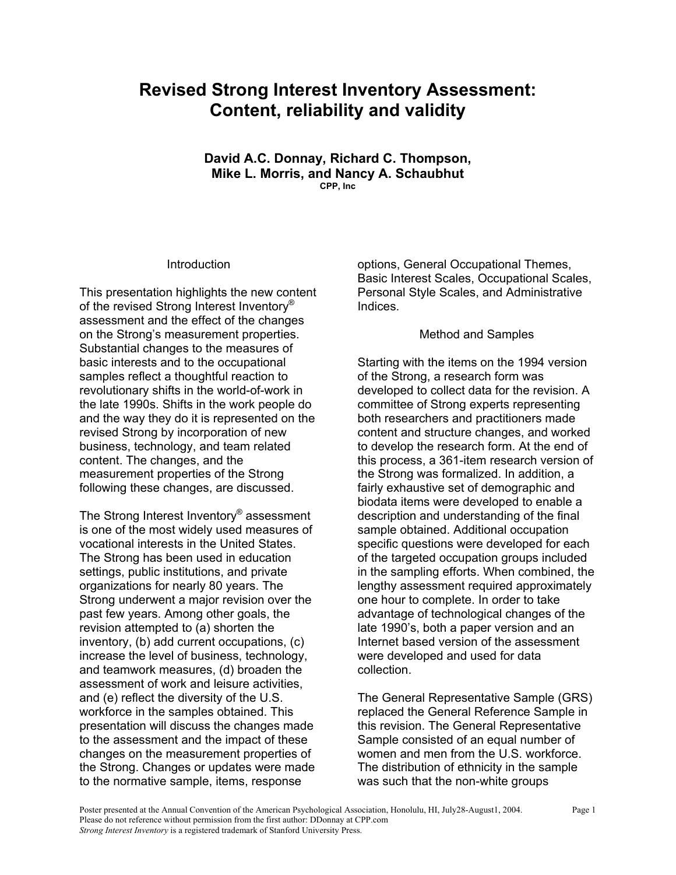# **Revised Strong Interest Inventory Assessment: Content, reliability and validity**

**David A.C. Donnay, Richard C. Thompson, Mike L. Morris, and Nancy A. Schaubhut CPP, Inc** 

#### Introduction

This presentation highlights the new content of the revised Strong Interest Inventory® assessment and the effect of the changes on the Strong's measurement properties. Substantial changes to the measures of basic interests and to the occupational samples reflect a thoughtful reaction to revolutionary shifts in the world-of-work in the late 1990s. Shifts in the work people do and the way they do it is represented on the revised Strong by incorporation of new business, technology, and team related content. The changes, and the measurement properties of the Strong following these changes, are discussed.

The Strong Interest Inventory® assessment is one of the most widely used measures of vocational interests in the United States. The Strong has been used in education settings, public institutions, and private organizations for nearly 80 years. The Strong underwent a major revision over the past few years. Among other goals, the revision attempted to (a) shorten the inventory, (b) add current occupations, (c) increase the level of business, technology, and teamwork measures, (d) broaden the assessment of work and leisure activities, and (e) reflect the diversity of the U.S. workforce in the samples obtained. This presentation will discuss the changes made to the assessment and the impact of these changes on the measurement properties of the Strong. Changes or updates were made to the normative sample, items, response

options, General Occupational Themes, Basic Interest Scales, Occupational Scales, Personal Style Scales, and Administrative Indices.

#### Method and Samples

Starting with the items on the 1994 version of the Strong, a research form was developed to collect data for the revision. A committee of Strong experts representing both researchers and practitioners made content and structure changes, and worked to develop the research form. At the end of this process, a 361-item research version of the Strong was formalized. In addition, a fairly exhaustive set of demographic and biodata items were developed to enable a description and understanding of the final sample obtained. Additional occupation specific questions were developed for each of the targeted occupation groups included in the sampling efforts. When combined, the lengthy assessment required approximately one hour to complete. In order to take advantage of technological changes of the late 1990's, both a paper version and an Internet based version of the assessment were developed and used for data collection.

The General Representative Sample (GRS) replaced the General Reference Sample in this revision. The General Representative Sample consisted of an equal number of women and men from the U.S. workforce. The distribution of ethnicity in the sample was such that the non-white groups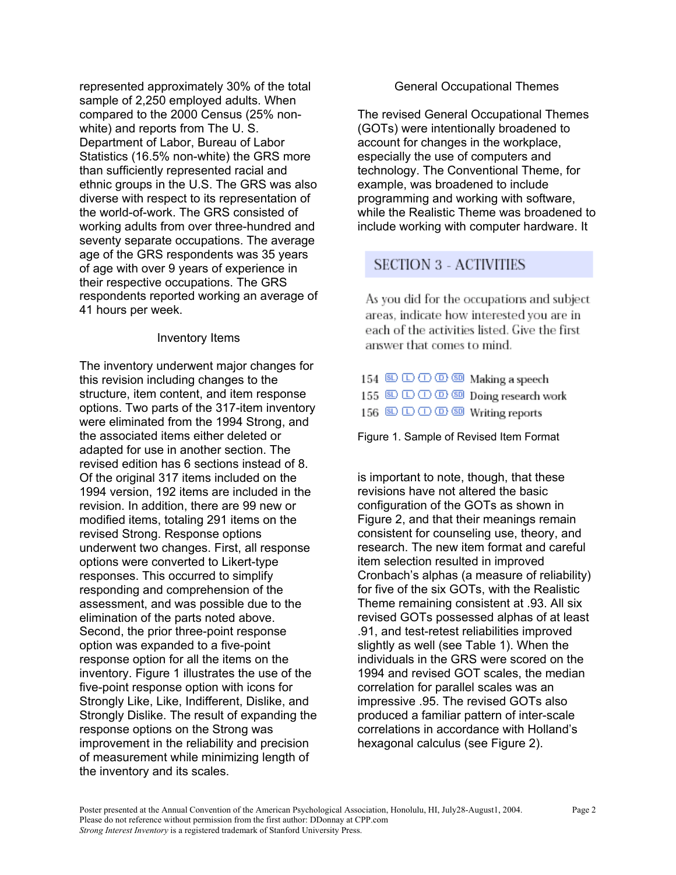represented approximately 30% of the total sample of 2,250 employed adults. When compared to the 2000 Census (25% nonwhite) and reports from The U. S. Department of Labor, Bureau of Labor Statistics (16.5% non-white) the GRS more than sufficiently represented racial and ethnic groups in the U.S. The GRS was also diverse with respect to its representation of the world-of-work. The GRS consisted of working adults from over three-hundred and seventy separate occupations. The average age of the GRS respondents was 35 years of age with over 9 years of experience in their respective occupations. The GRS respondents reported working an average of 41 hours per week.

#### Inventory Items

The inventory underwent major changes for this revision including changes to the structure, item content, and item response options. Two parts of the 317-item inventory were eliminated from the 1994 Strong, and the associated items either deleted or adapted for use in another section. The revised edition has 6 sections instead of 8. Of the original 317 items included on the 1994 version, 192 items are included in the revision. In addition, there are 99 new or modified items, totaling 291 items on the revised Strong. Response options underwent two changes. First, all response options were converted to Likert-type responses. This occurred to simplify responding and comprehension of the assessment, and was possible due to the elimination of the parts noted above. Second, the prior three-point response option was expanded to a five-point response option for all the items on the inventory. Figure 1 illustrates the use of the five-point response option with icons for Strongly Like, Like, Indifferent, Dislike, and Strongly Dislike. The result of expanding the response options on the Strong was improvement in the reliability and precision of measurement while minimizing length of the inventory and its scales.

### General Occupational Themes

The revised General Occupational Themes (GOTs) were intentionally broadened to account for changes in the workplace, especially the use of computers and technology. The Conventional Theme, for example, was broadened to include programming and working with software, while the Realistic Theme was broadened to include working with computer hardware. It

# **SECTION 3 - ACTIVITIES**

As you did for the occupations and subject areas, indicate how interested you are in each of the activities listed. Give the first answer that comes to mind.

| $154 \&\odot$ $\odot$ $\odot$ $\odot$ $\otimes$ $\circ$ Making a speech |  |
|-------------------------------------------------------------------------|--|
|                                                                         |  |
| $156$ SD $\Box$ $\Box$ $\Box$ $\Box$ SD Writing reports                 |  |

Figure 1. Sample of Revised Item Format

is important to note, though, that these revisions have not altered the basic configuration of the GOTs as shown in Figure 2, and that their meanings remain consistent for counseling use, theory, and research. The new item format and careful item selection resulted in improved Cronbach's alphas (a measure of reliability) for five of the six GOTs, with the Realistic Theme remaining consistent at .93. All six revised GOTs possessed alphas of at least .91, and test-retest reliabilities improved slightly as well (see Table 1). When the individuals in the GRS were scored on the 1994 and revised GOT scales, the median correlation for parallel scales was an impressive .95. The revised GOTs also produced a familiar pattern of inter-scale correlations in accordance with Holland's hexagonal calculus (see Figure 2).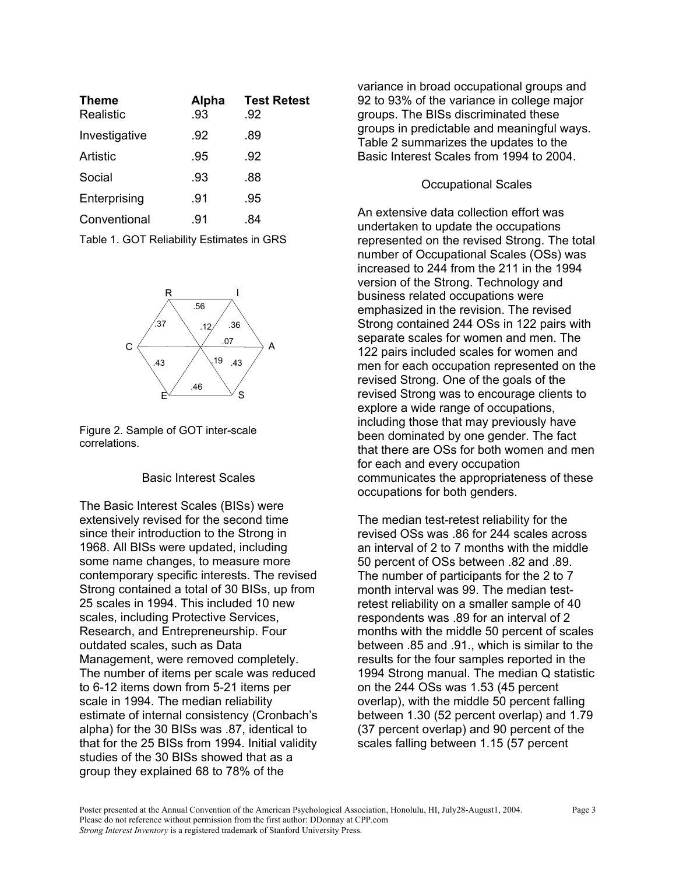| <b>Theme</b><br>Realistic | Alpha<br>.93 | <b>Test Retest</b><br>.92 |
|---------------------------|--------------|---------------------------|
| Investigative             | .92          | .89                       |
| Artistic                  | .95          | .92                       |
| Social                    | .93          | .88                       |
| Enterprising              | .91          | .95                       |
| Conventional              | .91          | -84                       |

Table 1. GOT Reliability Estimates in GRS



Figure 2. Sample of GOT inter-scale correlations.

#### Basic Interest Scales

The Basic Interest Scales (BISs) were extensively revised for the second time since their introduction to the Strong in 1968. All BISs were updated, including some name changes, to measure more contemporary specific interests. The revised Strong contained a total of 30 BISs, up from 25 scales in 1994. This included 10 new scales, including Protective Services, Research, and Entrepreneurship. Four outdated scales, such as Data Management, were removed completely. The number of items per scale was reduced to 6-12 items down from 5-21 items per scale in 1994. The median reliability estimate of internal consistency (Cronbach's alpha) for the 30 BISs was .87, identical to that for the 25 BISs from 1994. Initial validity studies of the 30 BISs showed that as a group they explained 68 to 78% of the

variance in broad occupational groups and 92 to 93% of the variance in college major groups. The BISs discriminated these groups in predictable and meaningful ways. Table 2 summarizes the updates to the Basic Interest Scales from 1994 to 2004.

## Occupational Scales

An extensive data collection effort was undertaken to update the occupations represented on the revised Strong. The total number of Occupational Scales (OSs) was increased to 244 from the 211 in the 1994 version of the Strong. Technology and business related occupations were emphasized in the revision. The revised Strong contained 244 OSs in 122 pairs with separate scales for women and men. The 122 pairs included scales for women and men for each occupation represented on the revised Strong. One of the goals of the revised Strong was to encourage clients to explore a wide range of occupations, including those that may previously have been dominated by one gender. The fact that there are OSs for both women and men for each and every occupation communicates the appropriateness of these occupations for both genders.

The median test-retest reliability for the revised OSs was .86 for 244 scales across an interval of 2 to 7 months with the middle 50 percent of OSs between .82 and .89. The number of participants for the 2 to 7 month interval was 99. The median testretest reliability on a smaller sample of 40 respondents was .89 for an interval of 2 months with the middle 50 percent of scales between .85 and .91., which is similar to the results for the four samples reported in the 1994 Strong manual. The median Q statistic on the 244 OSs was 1.53 (45 percent overlap), with the middle 50 percent falling between 1.30 (52 percent overlap) and 1.79 (37 percent overlap) and 90 percent of the scales falling between 1.15 (57 percent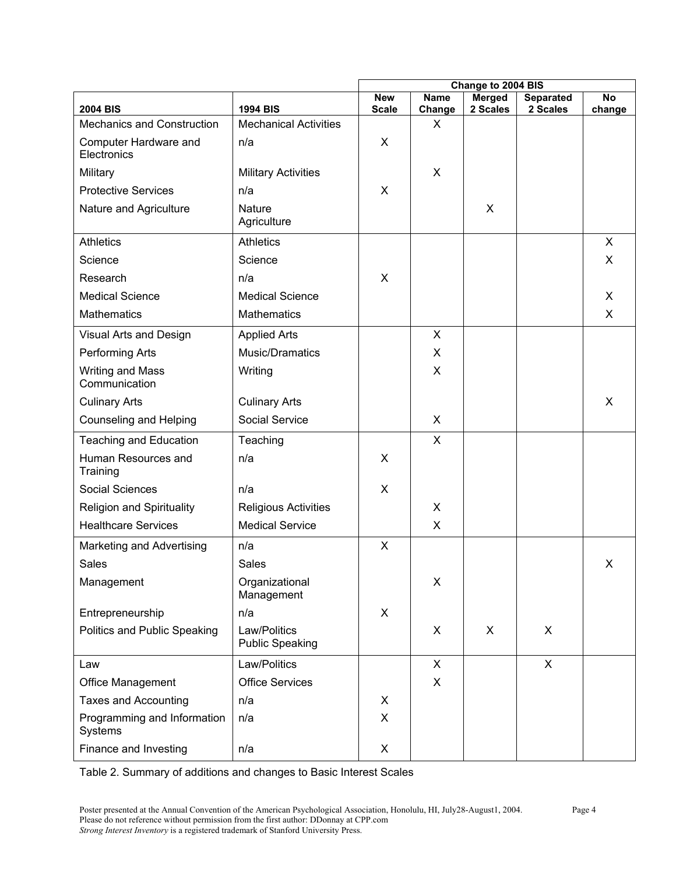|                                        |                                        | Change to 2004 BIS         |                       |                           |                              |                          |
|----------------------------------------|----------------------------------------|----------------------------|-----------------------|---------------------------|------------------------------|--------------------------|
| <b>2004 BIS</b>                        | <b>1994 BIS</b>                        | <b>New</b><br><b>Scale</b> | <b>Name</b><br>Change | <b>Merged</b><br>2 Scales | <b>Separated</b><br>2 Scales | $\overline{N}$<br>change |
| Mechanics and Construction             | <b>Mechanical Activities</b>           |                            | X                     |                           |                              |                          |
| Computer Hardware and<br>Electronics   | n/a                                    | X                          |                       |                           |                              |                          |
| Military                               | <b>Military Activities</b>             |                            | X                     |                           |                              |                          |
| <b>Protective Services</b>             | n/a                                    | X                          |                       |                           |                              |                          |
| Nature and Agriculture                 | <b>Nature</b><br>Agriculture           |                            |                       | X                         |                              |                          |
| <b>Athletics</b>                       | <b>Athletics</b>                       |                            |                       |                           |                              | X                        |
| Science                                | Science                                |                            |                       |                           |                              | X                        |
| Research                               | n/a                                    | X                          |                       |                           |                              |                          |
| <b>Medical Science</b>                 | <b>Medical Science</b>                 |                            |                       |                           |                              | X                        |
| <b>Mathematics</b>                     | <b>Mathematics</b>                     |                            |                       |                           |                              | $\mathsf{X}$             |
| Visual Arts and Design                 | <b>Applied Arts</b>                    |                            | X                     |                           |                              |                          |
| <b>Performing Arts</b>                 | Music/Dramatics                        |                            | X                     |                           |                              |                          |
| Writing and Mass<br>Communication      | Writing                                |                            | X                     |                           |                              |                          |
| <b>Culinary Arts</b>                   | <b>Culinary Arts</b>                   |                            |                       |                           |                              | X                        |
| <b>Counseling and Helping</b>          | Social Service                         |                            | X                     |                           |                              |                          |
| <b>Teaching and Education</b>          | Teaching                               |                            | X                     |                           |                              |                          |
| Human Resources and<br>Training        | n/a                                    | $\mathsf{X}$               |                       |                           |                              |                          |
| <b>Social Sciences</b>                 | n/a                                    | $\mathsf{X}$               |                       |                           |                              |                          |
| <b>Religion and Spirituality</b>       | <b>Religious Activities</b>            |                            | X                     |                           |                              |                          |
| <b>Healthcare Services</b>             | <b>Medical Service</b>                 |                            | X                     |                           |                              |                          |
| Marketing and Advertising              | n/a                                    | X                          |                       |                           |                              |                          |
| <b>Sales</b>                           | <b>Sales</b>                           |                            |                       |                           |                              | X                        |
| Management                             | Organizational<br>Management           |                            | X                     |                           |                              |                          |
| Entrepreneurship                       | n/a                                    | X                          |                       |                           |                              |                          |
| Politics and Public Speaking           | Law/Politics<br><b>Public Speaking</b> |                            | X                     | X                         | X                            |                          |
| Law                                    | Law/Politics                           |                            | X                     |                           | $\mathsf{X}$                 |                          |
| Office Management                      | <b>Office Services</b>                 |                            | X                     |                           |                              |                          |
| <b>Taxes and Accounting</b>            | n/a                                    | X                          |                       |                           |                              |                          |
| Programming and Information<br>Systems | n/a                                    | X                          |                       |                           |                              |                          |
| Finance and Investing                  | n/a                                    | X                          |                       |                           |                              |                          |

Table 2. Summary of additions and changes to Basic Interest Scales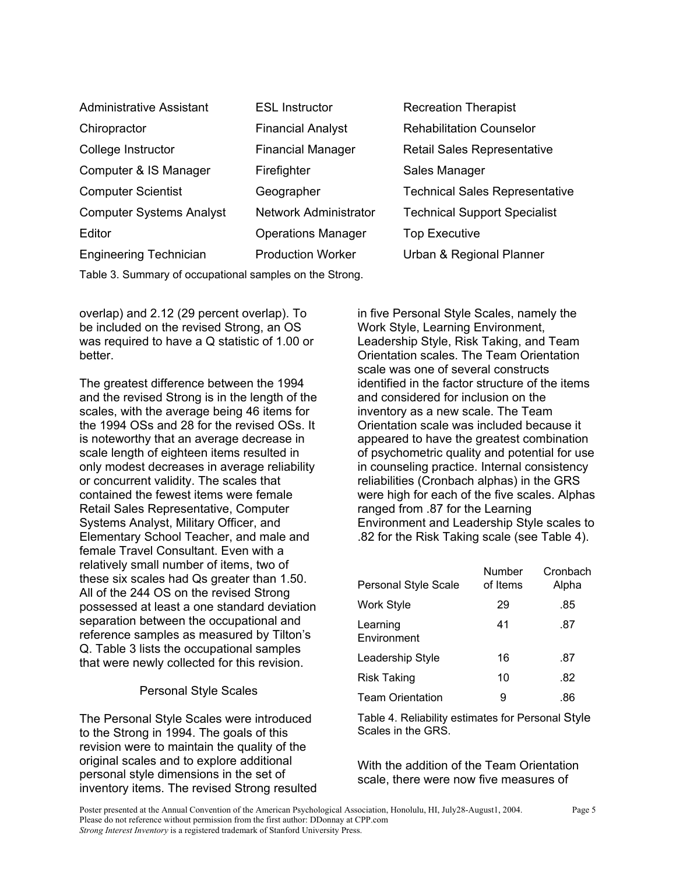| <b>Administrative Assistant</b> | <b>ESL Instructor</b>        | <b>Recreation The</b>   |
|---------------------------------|------------------------------|-------------------------|
| Chiropractor                    | <b>Financial Analyst</b>     | <b>Rehabilitation (</b> |
| College Instructor              | <b>Financial Manager</b>     | Retail Sales Re         |
| Computer & IS Manager           | Firefighter                  | Sales Manager           |
| <b>Computer Scientist</b>       | Geographer                   | <b>Technical Sale</b>   |
| <b>Computer Systems Analyst</b> | <b>Network Administrator</b> | <b>Technical Supr</b>   |
| Editor                          | <b>Operations Manager</b>    | <b>Top Executive</b>    |
| <b>Engineering Technician</b>   | <b>Production Worker</b>     | Urban & Regio           |
|                                 |                              |                         |

ation Therapist ilitation Counselor Sales Representative Manager ical Sales Representative ical Support Specialist & Regional Planner

Table 3. Summary of occupational samples on the Strong.

overlap) and 2.12 (29 percent overlap). To be included on the revised Strong, an OS was required to have a Q statistic of 1.00 or better.

The greatest difference between the 1994 and the revised Strong is in the length of the scales, with the average being 46 items for the 1994 OSs and 28 for the revised OSs. It is noteworthy that an average decrease in scale length of eighteen items resulted in only modest decreases in average reliability or concurrent validity. The scales that contained the fewest items were female Retail Sales Representative, Computer Systems Analyst, Military Officer, and Elementary School Teacher, and male and female Travel Consultant. Even with a relatively small number of items, two of these six scales had Qs greater than 1.50. All of the 244 OS on the revised Strong possessed at least a one standard deviation separation between the occupational and reference samples as measured by Tilton's Q. Table 3 lists the occupational samples that were newly collected for this revision.

# Personal Style Scales

The Personal Style Scales were introduced to the Strong in 1994. The goals of this revision were to maintain the quality of the original scales and to explore additional personal style dimensions in the set of inventory items. The revised Strong resulted

in five Personal Style Scales, namely the Work Style, Learning Environment, Leadership Style, Risk Taking, and Team Orientation scales. The Team Orientation scale was one of several constructs identified in the factor structure of the items and considered for inclusion on the inventory as a new scale. The Team Orientation scale was included because it appeared to have the greatest combination of psychometric quality and potential for use in counseling practice. Internal consistency reliabilities (Cronbach alphas) in the GRS were high for each of the five scales. Alphas ranged from .87 for the Learning Environment and Leadership Style scales to .82 for the Risk Taking scale (see Table 4).

| <b>Personal Style Scale</b> | Number<br>of Items | Cronbach<br>Alpha |
|-----------------------------|--------------------|-------------------|
| <b>Work Style</b>           | 29                 | .85               |
| Learning<br>Environment     | 41                 | .87               |
| Leadership Style            | 16                 | .87               |
| <b>Risk Taking</b>          | 10                 | .82               |
| <b>Team Orientation</b>     | 9                  | .86               |

Table 4. Reliability estimates for Personal Style Scales in the GRS.

With the addition of the Team Orientation scale, there were now five measures of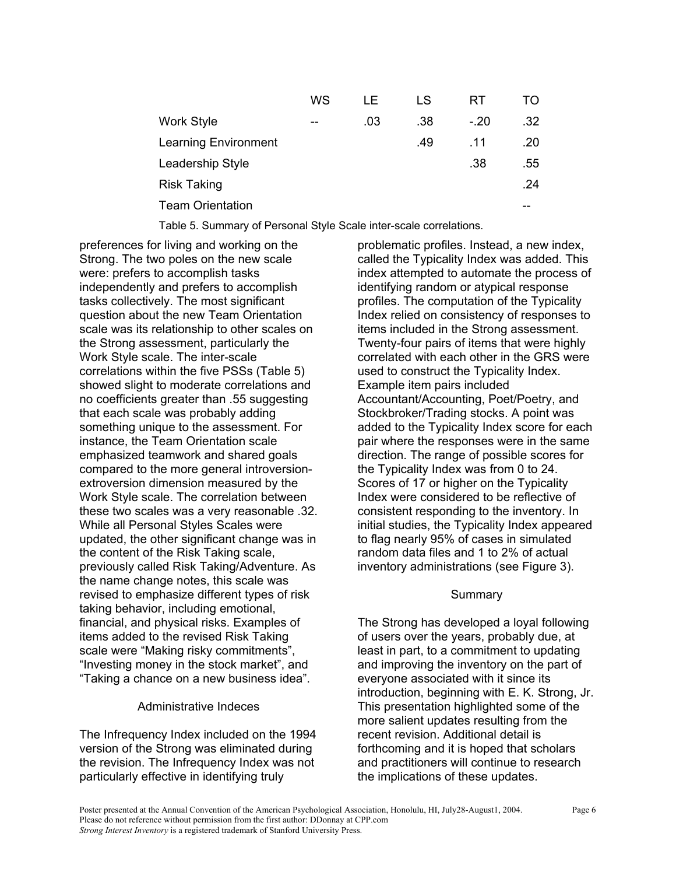|                             | WS | I E | LS  | RT     | TΟ  |
|-----------------------------|----|-----|-----|--------|-----|
| <b>Work Style</b>           | -- | .03 | .38 | $-.20$ | .32 |
| <b>Learning Environment</b> |    |     | .49 | .11    | .20 |
| Leadership Style            |    |     |     | .38    | .55 |
| <b>Risk Taking</b>          |    |     |     |        | .24 |
| <b>Team Orientation</b>     |    |     |     |        |     |
|                             |    |     |     |        |     |

Table 5. Summary of Personal Style Scale inter-scale correlations.

preferences for living and working on the Strong. The two poles on the new scale were: prefers to accomplish tasks independently and prefers to accomplish tasks collectively. The most significant question about the new Team Orientation scale was its relationship to other scales on the Strong assessment, particularly the Work Style scale. The inter-scale correlations within the five PSSs (Table 5) showed slight to moderate correlations and no coefficients greater than .55 suggesting that each scale was probably adding something unique to the assessment. For instance, the Team Orientation scale emphasized teamwork and shared goals compared to the more general introversionextroversion dimension measured by the Work Style scale. The correlation between these two scales was a very reasonable .32. While all Personal Styles Scales were updated, the other significant change was in the content of the Risk Taking scale, previously called Risk Taking/Adventure. As the name change notes, this scale was revised to emphasize different types of risk taking behavior, including emotional, financial, and physical risks. Examples of items added to the revised Risk Taking scale were "Making risky commitments", "Investing money in the stock market", and "Taking a chance on a new business idea".

# Administrative Indeces

The Infrequency Index included on the 1994 version of the Strong was eliminated during the revision. The Infrequency Index was not particularly effective in identifying truly

problematic profiles. Instead, a new index, called the Typicality Index was added. This index attempted to automate the process of identifying random or atypical response profiles. The computation of the Typicality Index relied on consistency of responses to items included in the Strong assessment. Twenty-four pairs of items that were highly correlated with each other in the GRS were used to construct the Typicality Index. Example item pairs included Accountant/Accounting, Poet/Poetry, and Stockbroker/Trading stocks. A point was added to the Typicality Index score for each pair where the responses were in the same direction. The range of possible scores for the Typicality Index was from 0 to 24. Scores of 17 or higher on the Typicality Index were considered to be reflective of consistent responding to the inventory. In initial studies, the Typicality Index appeared to flag nearly 95% of cases in simulated random data files and 1 to 2% of actual inventory administrations (see Figure 3).

# **Summary**

The Strong has developed a loyal following of users over the years, probably due, at least in part, to a commitment to updating and improving the inventory on the part of everyone associated with it since its introduction, beginning with E. K. Strong, Jr. This presentation highlighted some of the more salient updates resulting from the recent revision. Additional detail is forthcoming and it is hoped that scholars and practitioners will continue to research the implications of these updates.